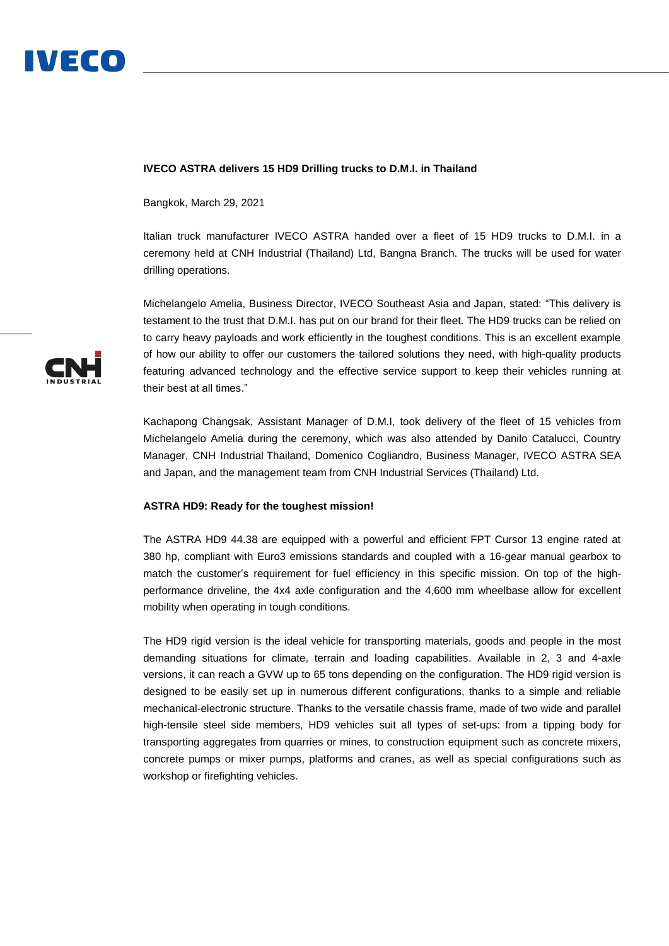

## **IVECO ASTRA delivers 15 HD9 Drilling trucks to D.M.I. in Thailand**

Bangkok, March 29, 2021

Italian truck manufacturer IVECO ASTRA handed over a fleet of 15 HD9 trucks to D.M.I. in a ceremony held at CNH Industrial (Thailand) Ltd, Bangna Branch. The trucks will be used for water drilling operations.

Michelangelo Amelia, Business Director, IVECO Southeast Asia and Japan, stated: "This delivery is testament to the trust that D.M.I. has put on our brand for their fleet. The HD9 trucks can be relied on to carry heavy payloads and work efficiently in the toughest conditions. This is an excellent example of how our ability to offer our customers the tailored solutions they need, with high-quality products featuring advanced technology and the effective service support to keep their vehicles running at their best at all times."

Kachapong Changsak, Assistant Manager of D.M.I, took delivery of the fleet of 15 vehicles from Michelangelo Amelia during the ceremony, which was also attended by Danilo Catalucci, Country Manager, CNH Industrial Thailand, Domenico Cogliandro, Business Manager, IVECO ASTRA SEA and Japan, and the management team from CNH Industrial Services (Thailand) Ltd.

## **ASTRA HD9: Ready for the toughest mission!**

The ASTRA HD9 44.38 are equipped with a powerful and efficient FPT Cursor 13 engine rated at 380 hp, compliant with Euro3 emissions standards and coupled with a 16-gear manual gearbox to match the customer's requirement for fuel efficiency in this specific mission. On top of the highperformance driveline, the 4x4 axle configuration and the 4,600 mm wheelbase allow for excellent mobility when operating in tough conditions.

The HD9 rigid version is the ideal vehicle for transporting materials, goods and people in the most demanding situations for climate, terrain and loading capabilities. Available in 2, 3 and 4-axle versions, it can reach a GVW up to 65 tons depending on the configuration. The HD9 rigid version is designed to be easily set up in numerous different configurations, thanks to a simple and reliable mechanical-electronic structure. Thanks to the versatile chassis frame, made of two wide and parallel high-tensile steel side members, HD9 vehicles suit all types of set-ups: from a tipping body for transporting aggregates from quarries or mines, to construction equipment such as concrete mixers, concrete pumps or mixer pumps, platforms and cranes, as well as special configurations such as workshop or firefighting vehicles.